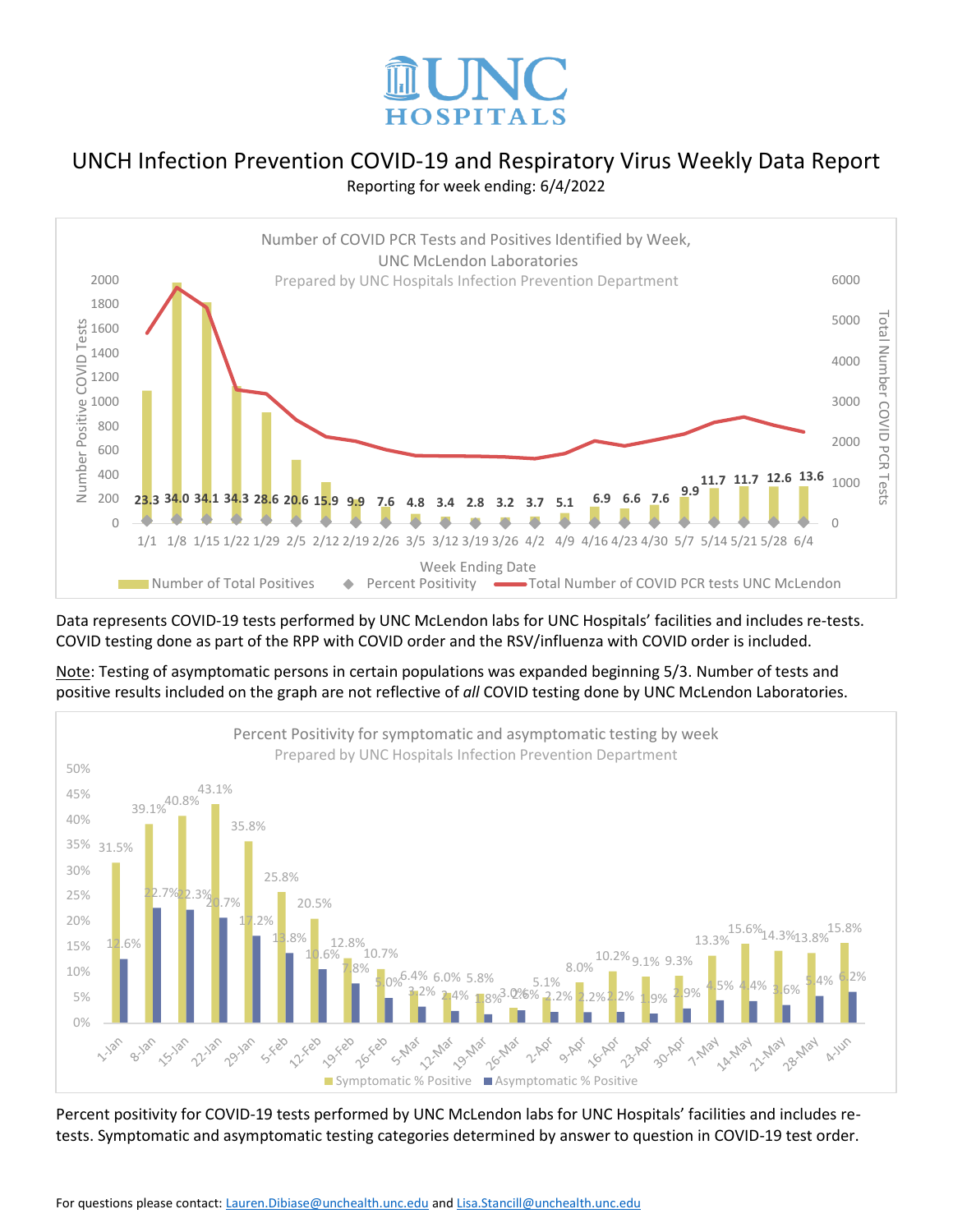



Data represents COVID-19 tests performed by UNC McLendon labs for UNC Hospitals' facilities and includes re-tests. COVID testing done as part of the RPP with COVID order and the RSV/influenza with COVID order is included.

Note: Testing of asymptomatic persons in certain populations was expanded beginning 5/3. Number of tests and positive results included on the graph are not reflective of *all* COVID testing done by UNC McLendon Laboratories.



Percent positivity for COVID-19 tests performed by UNC McLendon labs for UNC Hospitals' facilities and includes retests. Symptomatic and asymptomatic testing categories determined by answer to question in COVID-19 test order.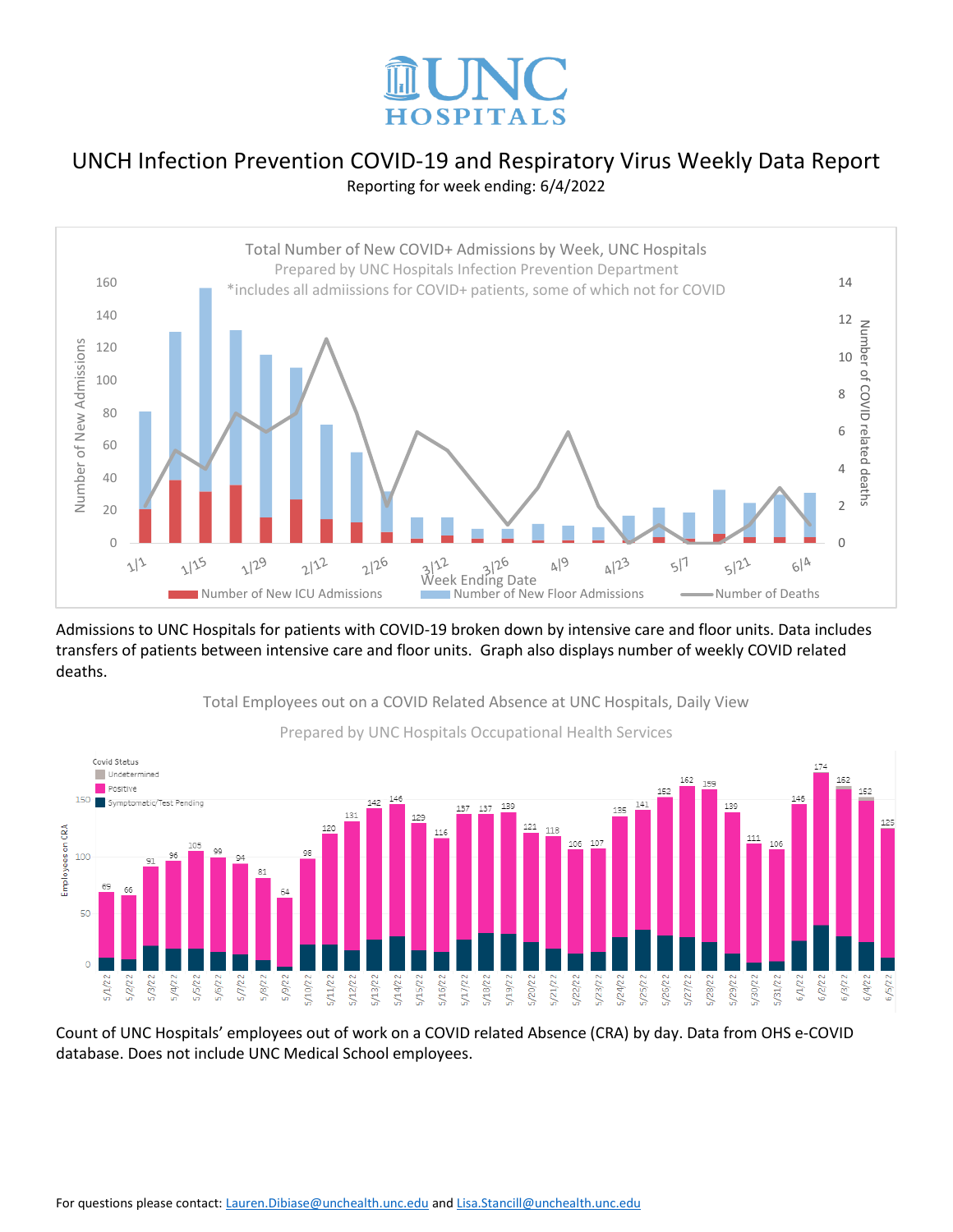



Admissions to UNC Hospitals for patients with COVID-19 broken down by intensive care and floor units. Data includes transfers of patients between intensive care and floor units. Graph also displays number of weekly COVID related deaths.



Total Employees out on a COVID Related Absence at UNC Hospitals, Daily View

Count of UNC Hospitals' employees out of work on a COVID related Absence (CRA) by day. Data from OHS e-COVID database. Does not include UNC Medical School employees.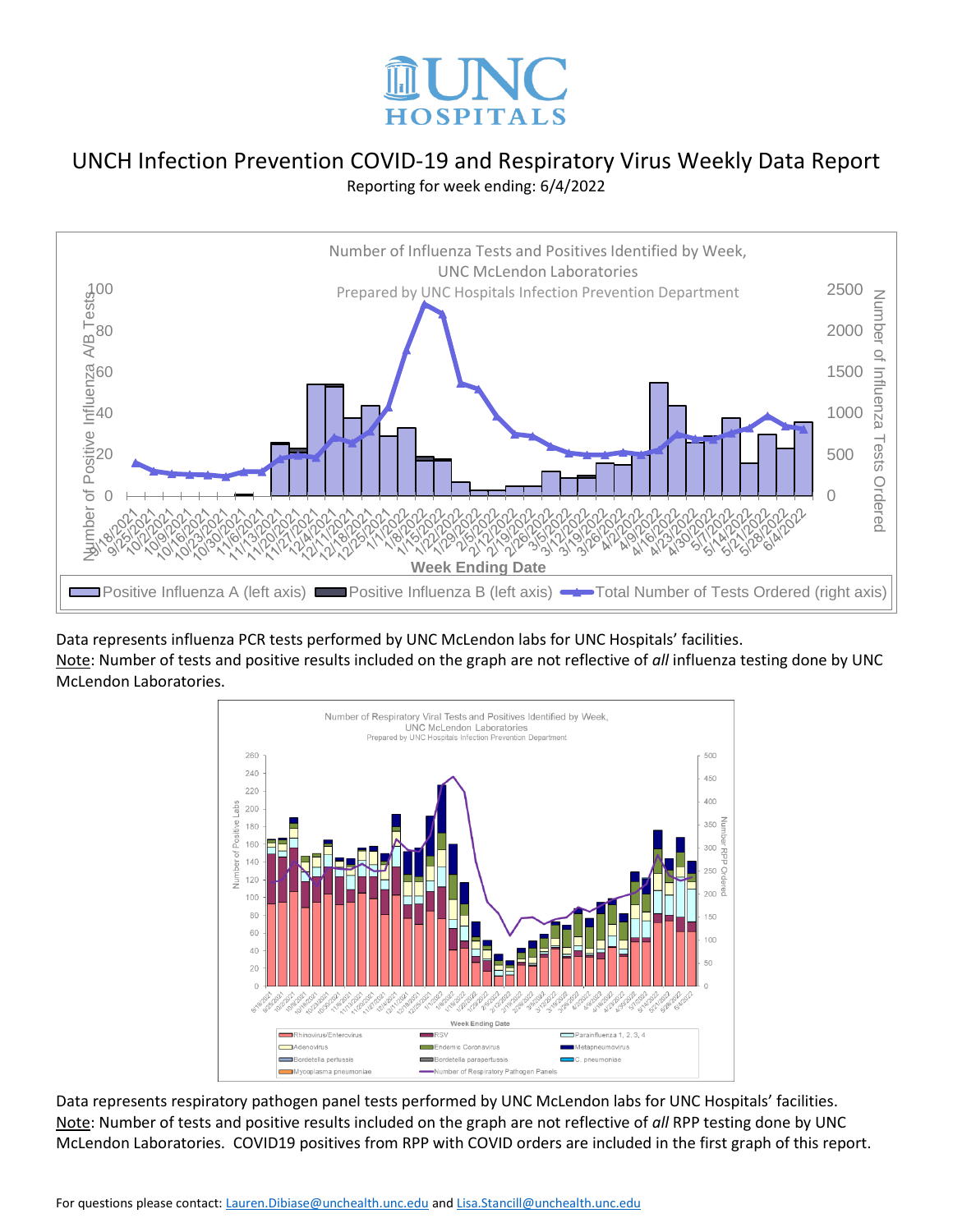



Data represents influenza PCR tests performed by UNC McLendon labs for UNC Hospitals' facilities. Note: Number of tests and positive results included on the graph are not reflective of *all* influenza testing done by UNC McLendon Laboratories.



Data represents respiratory pathogen panel tests performed by UNC McLendon labs for UNC Hospitals' facilities. Note: Number of tests and positive results included on the graph are not reflective of *all* RPP testing done by UNC McLendon Laboratories. COVID19 positives from RPP with COVID orders are included in the first graph of this report.